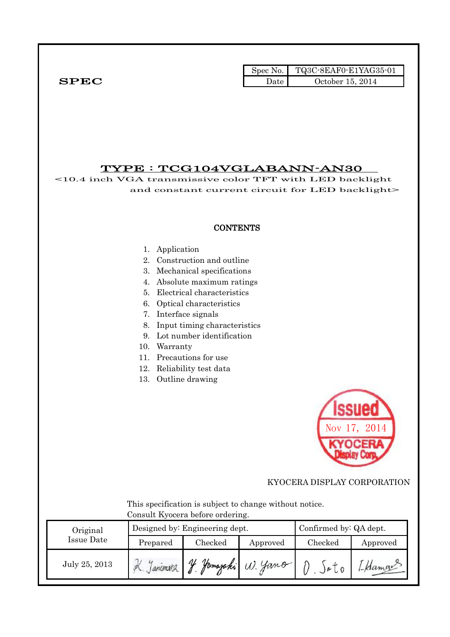|              |      | Spec No. $\vert$ TQ3C-8EAF0-E1YAG35-01 |
|--------------|------|----------------------------------------|
| ${\bf SPEC}$ | Jate | October 15, 2014                       |

# TYPE : TCG104VGLABANN-AN30

<10.4 inch VGA transmissive color TFT with LED backlight and constant current circuit for LED backlight>

### **CONTENTS**

#### 1. Application

- 2. Construction and outline
- 3. Mechanical specifications
- 4. Absolute maximum ratings
- 5. Electrical characteristics
- 6. Optical characteristics
- 7. Interface signals
- 8. Input timing characteristics
- 9. Lot number identification
- 10. Warranty
- 11. Precautions for use
- 12. Reliability test data
- 13. Outline drawing



KYOCERA DISPLAY CORPORATION

 This specification is subject to change without notice. Consult Kyocera before ordering.

| Original      |          | Designed by: Engineering dept. | Confirmed by: QA dept. |          |          |
|---------------|----------|--------------------------------|------------------------|----------|----------|
| Issue Date    | Prepared | Checked                        | Approved               | Checked  | Approved |
| July 25, 2013 |          | V<br>Homasaki                  | $\cdot$ U. Jano        | $)e$ $0$ |          |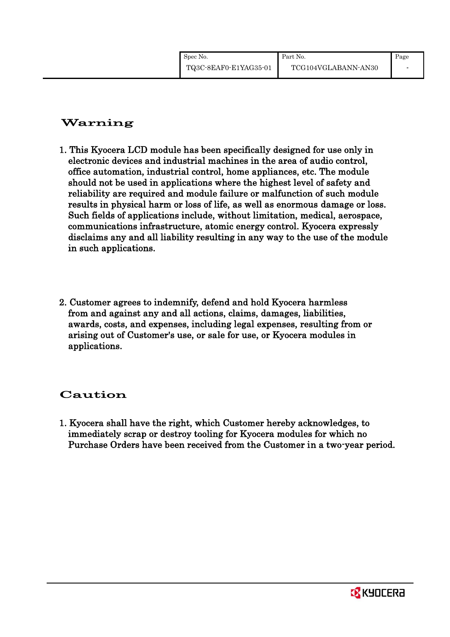# Warning

- 1. This Kyocera LCD module has been specifically designed for use only in electronic devices and industrial machines in the area of audio control, office automation, industrial control, home appliances, etc. The module should not be used in applications where the highest level of safety and reliability are required and module failure or malfunction of such module results in physical harm or loss of life, as well as enormous damage or loss. Such fields of applications include, without limitation, medical, aerospace, communications infrastructure, atomic energy control. Kyocera expressly disclaims any and all liability resulting in any way to the use of the module in such applications.
- 2. Customer agrees to indemnify, defend and hold Kyocera harmless from and against any and all actions, claims, damages, liabilities, awards, costs, and expenses, including legal expenses, resulting from or arising out of Customer's use, or sale for use, or Kyocera modules in applications.

# Caution

1. Kyocera shall have the right, which Customer hereby acknowledges, to immediately scrap or destroy tooling for Kyocera modules for which no Purchase Orders have been received from the Customer in a two-year period.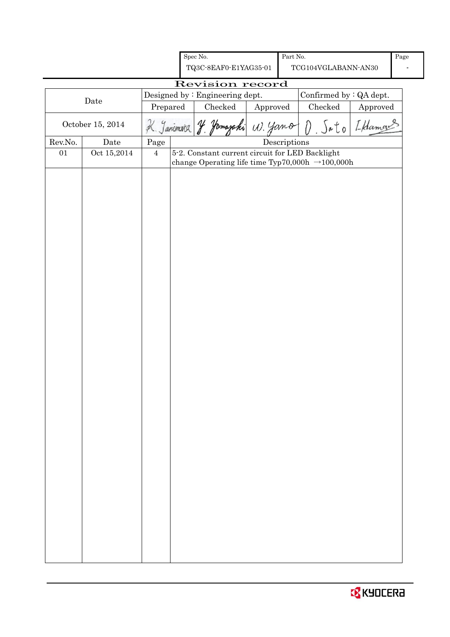|         |                  |                | Spec No.                                                     |          | Part No.                             |   |                     |                         | Page |
|---------|------------------|----------------|--------------------------------------------------------------|----------|--------------------------------------|---|---------------------|-------------------------|------|
|         |                  |                | TQ3C-8EAF0-E1YAG35-01                                        |          |                                      |   | TCG104VGLABANN-AN30 |                         |      |
|         |                  |                | Revision record                                              |          |                                      |   |                     |                         |      |
|         |                  |                | Designed by : Engineering dept.                              |          |                                      |   |                     | Confirmed by : QA dept. |      |
|         | Date             | Prepared       | Checked                                                      | Approved |                                      |   | Checked             | Approved                |      |
|         | October 15, 2014 | K. Janimira    | majaki                                                       | W. Jano  |                                      | D | Sa to               | I Hamous                |      |
| Rev.No. | Date             | Page           |                                                              |          | $\label{eq:2} \textbf{Descriptions}$ |   |                     |                         |      |
| 01      | Oct 15,2014      | $\overline{4}$ | 5-2. Constant current circuit for LED Backlight              |          |                                      |   |                     |                         |      |
|         |                  |                | change Operating life time Typ70,000h $\rightarrow$ 100,000h |          |                                      |   |                     |                         |      |
|         |                  |                |                                                              |          |                                      |   |                     |                         |      |
|         |                  |                |                                                              |          |                                      |   |                     |                         |      |
|         |                  |                |                                                              |          |                                      |   |                     |                         |      |
|         |                  |                |                                                              |          |                                      |   |                     |                         |      |
|         |                  |                |                                                              |          |                                      |   |                     |                         |      |
|         |                  |                |                                                              |          |                                      |   |                     |                         |      |
|         |                  |                |                                                              |          |                                      |   |                     |                         |      |
|         |                  |                |                                                              |          |                                      |   |                     |                         |      |
|         |                  |                |                                                              |          |                                      |   |                     |                         |      |
|         |                  |                |                                                              |          |                                      |   |                     |                         |      |
|         |                  |                |                                                              |          |                                      |   |                     |                         |      |
|         |                  |                |                                                              |          |                                      |   |                     |                         |      |
|         |                  |                |                                                              |          |                                      |   |                     |                         |      |
|         |                  |                |                                                              |          |                                      |   |                     |                         |      |
|         |                  |                |                                                              |          |                                      |   |                     |                         |      |
|         |                  |                |                                                              |          |                                      |   |                     |                         |      |
|         |                  |                |                                                              |          |                                      |   |                     |                         |      |
|         |                  |                |                                                              |          |                                      |   |                     |                         |      |
|         |                  |                |                                                              |          |                                      |   |                     |                         |      |
|         |                  |                |                                                              |          |                                      |   |                     |                         |      |
|         |                  |                |                                                              |          |                                      |   |                     |                         |      |
|         |                  |                |                                                              |          |                                      |   |                     |                         |      |
|         |                  |                |                                                              |          |                                      |   |                     |                         |      |
|         |                  |                |                                                              |          |                                      |   |                     |                         |      |
|         |                  |                |                                                              |          |                                      |   |                     |                         |      |
|         |                  |                |                                                              |          |                                      |   |                     |                         |      |
|         |                  |                |                                                              |          |                                      |   |                     |                         |      |
|         |                  |                |                                                              |          |                                      |   |                     |                         |      |
|         |                  |                |                                                              |          |                                      |   |                     |                         |      |
|         |                  |                |                                                              |          |                                      |   |                     |                         |      |
|         |                  |                |                                                              |          |                                      |   |                     |                         |      |
|         |                  |                |                                                              |          |                                      |   |                     |                         |      |
|         |                  |                |                                                              |          |                                      |   |                     |                         |      |
|         |                  |                |                                                              |          |                                      |   |                     |                         |      |
|         |                  |                |                                                              |          |                                      |   |                     |                         |      |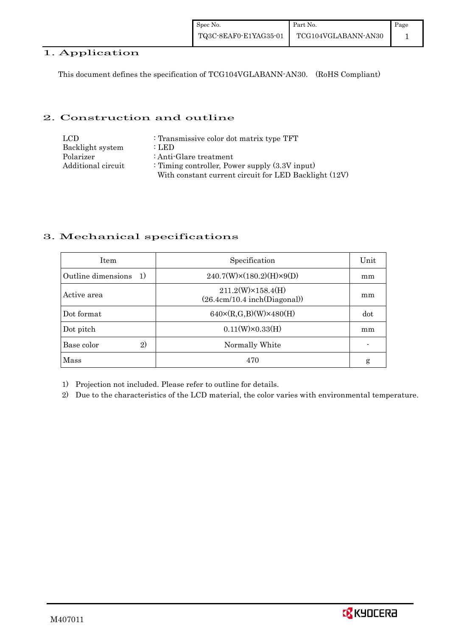## 1. Application

This document defines the specification of TCG104VGLABANN-AN30. (RoHS Compliant)

## 2. Construction and outline

| LCD.               | : Transmissive color dot matrix type TFT              |
|--------------------|-------------------------------------------------------|
| Backlight system   | : LED                                                 |
| Polarizer          | : Anti-Glare treatment                                |
| Additional circuit | : Timing controller, Power supply $(3.3V)$ input)     |
|                    | With constant current circuit for LED Backlight (12V) |

# 3. Mechanical specifications

| <b>Item</b>                | Specification                                             | Unit |
|----------------------------|-----------------------------------------------------------|------|
| Outline dimensions<br>1)   | $240.7(W)\times(180.2)(H)\times9(D)$                      | mm   |
| Active area                | $211.2(W)\times 158.4(H)$<br>(26.4cm/10.4 inch(Diagonal)) | mm   |
| Dot format                 | $640 \times (R,G,B)(W) \times 480(H)$                     | dot  |
| Dot pitch                  | $0.11(W)\times0.33(H)$                                    | mm   |
| Base color<br>$\mathbf{2}$ | Normally White                                            |      |
| Mass                       | 470                                                       | g    |

1) Projection not included. Please refer to outline for details.

2) Due to the characteristics of the LCD material, the color varies with environmental temperature.

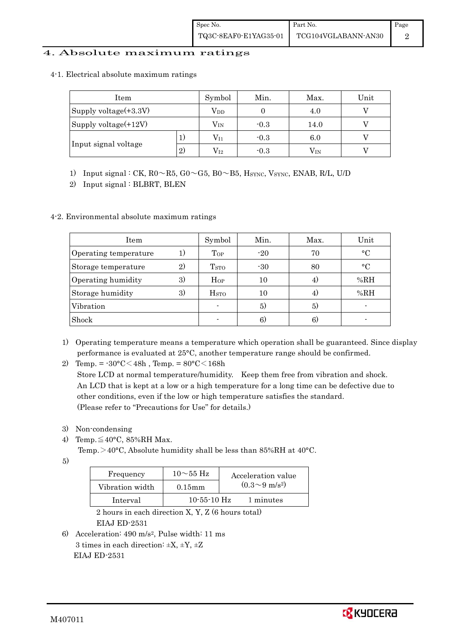## 4. Absolute maximum ratings

#### 4-1. Electrical absolute maximum ratings

| Item                    |    | Symbol       | Min.   | Max.     | Unit |
|-------------------------|----|--------------|--------|----------|------|
| Supply voltage(+3.3V)   |    | Vpp          |        | 4.0      |      |
| Supply voltage $(+12V)$ |    | $\rm V_{IN}$ | $-0.3$ | 14.0     |      |
| T,                      |    | $\rm V_{I1}$ | $-0.3$ | 6.0      |      |
| Input signal voltage    | 2) | $\rm V_{I2}$ | $-0.3$ | $V_{IN}$ |      |

1) Input signal : CK,  $R0 \sim R5$ ,  $G0 \sim G5$ ,  $B0 \sim B5$ ,  $H_{\text{SYNC}}$ ,  $V_{\text{SYNC}}$ ,  $ENAB$ ,  $R/L$ ,  $U/D$ 

2) Input signal : BLBRT, BLEN

## 4-2. Environmental absolute maximum ratings

| <b>Item</b>           |    | Symbol           | Min.  | Max. | Unit         |
|-----------------------|----|------------------|-------|------|--------------|
| Operating temperature | 1) | Top              | $-20$ | 70   | $^{\circ}$ C |
| Storage temperature   | 2) | T <sub>STO</sub> | $-30$ | 80   | $\circ$ C    |
| Operating humidity    | 3) | $H_{OP}$         | 10    | 4.   | %RH          |
| Storage humidity      | 3) | H <sub>STO</sub> | 10    | 4.   | %RH          |
| Vibration             |    |                  | 5)    | 5)   |              |
| Shock                 |    |                  | 6)    | 6    |              |

- 1) Operating temperature means a temperature which operation shall be guaranteed. Since display performance is evaluated at 25°C, another temperature range should be confirmed.
- 2) Temp. =  $-30^{\circ}$ C $<$ 48h, Temp. =  $80^{\circ}$ C $<$ 168h

 Store LCD at normal temperature/humidity. Keep them free from vibration and shock. An LCD that is kept at a low or a high temperature for a long time can be defective due to other conditions, even if the low or high temperature satisfies the standard. (Please refer to "Precautions for Use" for details.)

- 3) Non-condensing
- 4) Temp. $\leq 40^{\circ}$ C, 85%RH Max.
	- Temp. $>40^{\circ}$ C, Absolute humidity shall be less than 85%RH at 40°C.

5)

| Frequency       | $10\sim 55$ Hz    | Acceleration value         |
|-----------------|-------------------|----------------------------|
| Vibration width | $0.15$ mm         | $(0.3{\sim}9~{\rm m/s^2})$ |
| Interval        | $10 - 55 - 10$ Hz | 1 minutes                  |

 2 hours in each direction X, Y, Z (6 hours total) EIAJ ED-2531

6) Acceleration: 490 m/s2, Pulse width: 11 ms 3 times in each direction:  $\pm X$ ,  $\pm Y$ ,  $\pm Z$ EIAJ ED-2531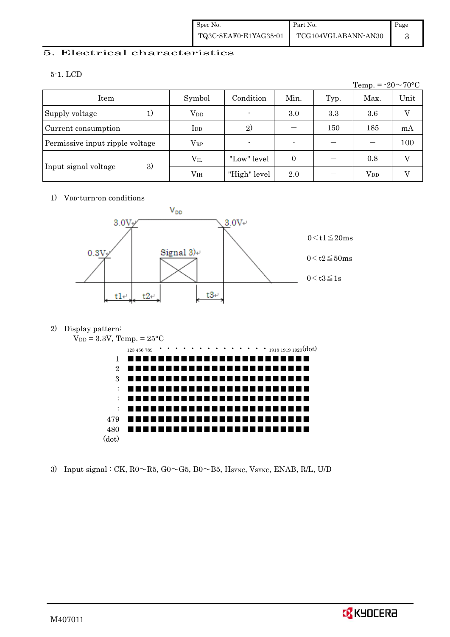# 5. Electrical characteristics

5-1. LCD

Temp. =  $-20 \sim 70$ °C Item Symbol Condition Min. Typ. Max. Unit Supply voltage  $1)$   $V_{DD}$   $3.0$   $3.3$   $3.6$  V Current consumption IDD 2) - 150 185 mA Permissive input ripple voltage  $\begin{vmatrix} V_{RP} & | & \cdot & | & - \end{vmatrix}$  -  $\begin{vmatrix} - & | & - \end{vmatrix}$  100 Input signal voltage 3)  $V_{\text{IL}}$  | "Low" level | 0 | - | 0.8 | V  $V_{\text{IH}}$  | "High" level 2.0 | - |  $V_{\text{DD}}$  | V

1) V<sub>DD</sub>-turn-on conditions



2) Display pattern:



3) Input signal : CK,  $R0 \sim R5$ ,  $G0 \sim G5$ ,  $B0 \sim B5$ , Hsync, Vsync, ENAB, R/L, U/D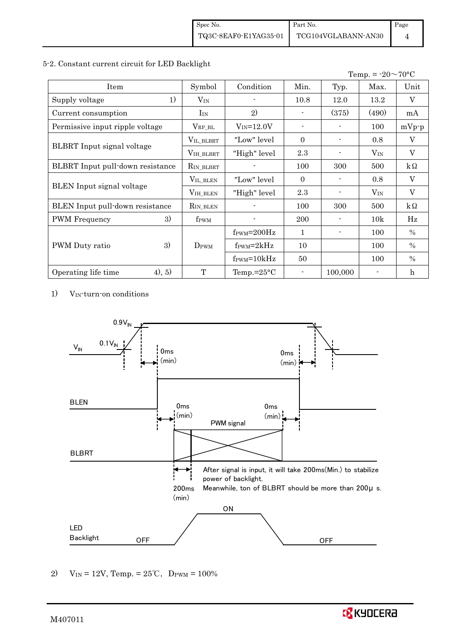#### 5-2. Constant current circuit for LED Backlight

|                                  |                       |                                  |          |         | Temp. = $-20 \sim 70$ °C |           |
|----------------------------------|-----------------------|----------------------------------|----------|---------|--------------------------|-----------|
| Item                             | Symbol                | Condition                        | Min.     | Typ.    | Max.                     | Unit      |
| 1)<br>Supply voltage             | $V_{IN}$              |                                  | 10.8     | 12.0    | 13.2                     | V         |
| Current consumption              | I <sub>IN</sub>       | 2)                               |          | (375)   | (490)                    | mA        |
| Permissive input ripple voltage  | $\rm V_{RP\_BL}$      | $V_{IN} = 12.0V$                 |          |         | 100                      | $mVp-p$   |
|                                  | VIL_BLBRT             | "Low" level"                     | $\Omega$ |         | 0.8                      | V         |
| BLBRT Input signal voltage       | VIH_BLBRT             | "High" level                     | 2.3      |         | $V_{\text{IN}}$          | V         |
| BLBRT Input pull-down resistance | R <sub>IN_BLBRT</sub> |                                  | 100      | 300     | 500                      | $k\Omega$ |
|                                  | $V_{\rm IL\_BLEN}$    | "Low" level                      | $\Omega$ |         | 0.8                      | $\rm V$   |
| BLEN Input signal voltage        | VIH_BLEN              | "High" level                     | 2.3      |         | $V_{IN}$                 | V         |
| BLEN Input pull-down resistance  | R <sub>IN</sub> BLEN  |                                  | 100      | 300     | 500                      | $k\Omega$ |
| 3)<br><b>PWM</b> Frequency       | f <sub>PWM</sub>      |                                  | 200      |         | 10k                      | Hz        |
|                                  |                       | $f_{\text{PWM}} = 200 \text{Hz}$ | 1        |         | 100                      | $\%$      |
| 3)<br>PWM Duty ratio             | $D_{\rm PWM}$         | $f_{\text{PWM}}=2kHz$            | 10       |         | 100                      | $\%$      |
|                                  |                       | $f_{\text{PWM}} = 10kHz$         | 50       |         | 100                      | $\%$      |
| (4), 5)<br>Operating life time   | T                     | Temp.= $25^{\circ}$ C            |          | 100,000 |                          | h         |

1) V<sub>IN</sub>-turn-on conditions



2) V<sub>IN</sub> = 12V, Temp. =  $25^{\circ}$ C, D<sub>PWM</sub> = 100%

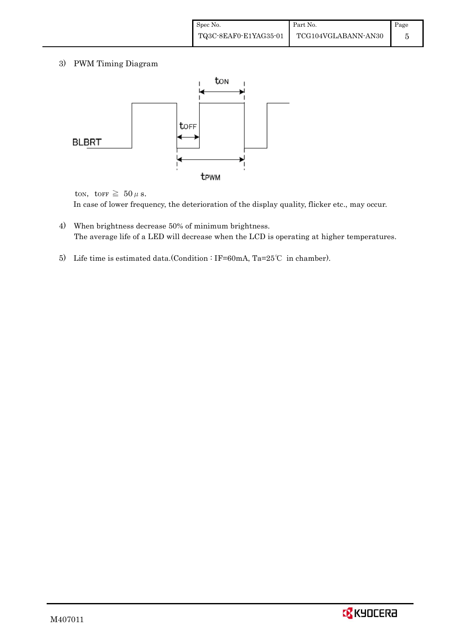3) PWM Timing Diagram



ton, torr  $\geq 50 \,\mu$  s.

In case of lower frequency, the deterioration of the display quality, flicker etc., may occur.

- 4) When brightness decrease 50% of minimum brightness. The average life of a LED will decrease when the LCD is operating at higher temperatures.
- 5) Life time is estimated data.(Condition : IF=60mA, Ta=25℃ in chamber).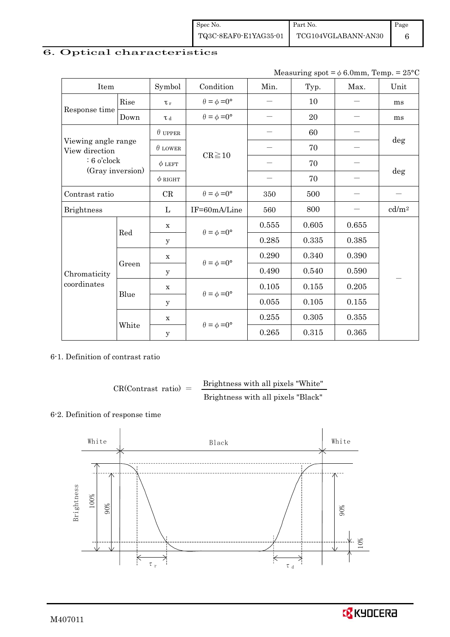| Spec No.              | Part No.            | Page |
|-----------------------|---------------------|------|
| TQ3C-8EAF0-E1YAG35-01 | TCG104VGLABANN-AN30 |      |

# 6. Optical characteristics

| Measuring spot = $\phi$ 6.0mm, Temp. = 25°C |
|---------------------------------------------|
|---------------------------------------------|

| Item                                                                       |       | Symbol              | Condition                   | Min.  | Typ.  | Max.  | Unit              |  |
|----------------------------------------------------------------------------|-------|---------------------|-----------------------------|-------|-------|-------|-------------------|--|
|                                                                            | Rise  | $\tau_r$            | $\theta = \phi = 0^{\circ}$ |       | 10    |       | ms                |  |
| Response time                                                              | Down  | $\tau$ <sub>d</sub> | $\theta = \phi = 0^{\circ}$ |       | 20    |       | ms                |  |
| Viewing angle range<br>View direction<br>$: 6$ o'clock<br>(Gray inversion) |       | $\theta$ upper      |                             |       | 60    |       |                   |  |
|                                                                            |       | $\theta$ LOWER      |                             |       | 70    |       | $\deg$            |  |
|                                                                            |       | $\phi$ LEFT         | $CR \ge 10$                 |       | 70    |       |                   |  |
|                                                                            |       | $\phi$ RIGHT        |                             | —     | 70    |       | deg               |  |
| Contrast ratio                                                             |       | CR                  | $\theta = \phi = 0^{\circ}$ | 350   | 500   |       |                   |  |
| <b>Brightness</b>                                                          |       | L                   | IF=60mA/Line                | 560   | 800   |       | cd/m <sup>2</sup> |  |
|                                                                            | Red   | $\mathbf X$         | $\theta = \phi = 0^{\circ}$ | 0.555 | 0.605 | 0.655 |                   |  |
|                                                                            |       | У                   |                             | 0.285 | 0.335 | 0.385 |                   |  |
|                                                                            |       | $\mathbf x$         | $\theta = \phi = 0^{\circ}$ | 0.290 | 0.340 | 0.390 |                   |  |
| Chromaticity                                                               | Green | у                   |                             | 0.490 | 0.540 | 0.590 |                   |  |
| coordinates                                                                |       | $\mathbf X$         | $\theta = \phi = 0^{\circ}$ | 0.105 | 0.155 | 0.205 |                   |  |
|                                                                            | Blue  | у                   |                             | 0.055 | 0.105 | 0.155 |                   |  |
|                                                                            |       | $\mathbf x$         |                             | 0.255 | 0.305 | 0.355 |                   |  |
|                                                                            | White | $\mathbf y$         | $\theta = \phi = 0^{\circ}$ | 0.265 | 0.315 | 0.365 |                   |  |

# 6-1. Definition of contrast ratio

$$
CR(Contrast ratio) = \frac{Brightness with all pixels "White" }{Brightness with all pixels "Black"}
$$

# 6-2. Definition of response time



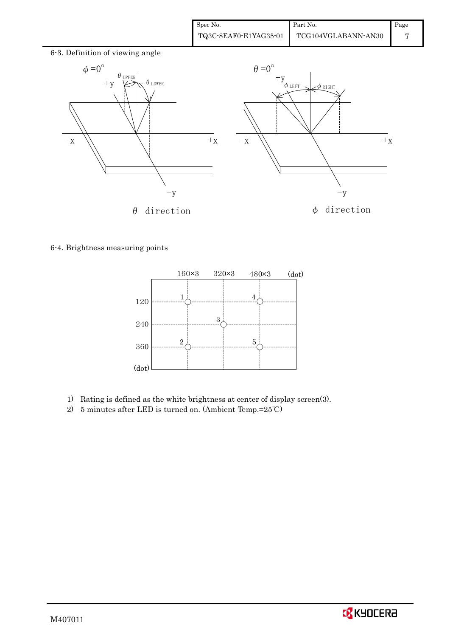| Spec No.              | Part No.            | Page |
|-----------------------|---------------------|------|
| TQ3C-8EAF0-E1YAG35-01 | TCG104VGLABANN-AN30 |      |



6-4. Brightness measuring points



- 1) Rating is defined as the white brightness at center of display screen(3).
- 2) 5 minutes after LED is turned on. (Ambient Temp.=25℃)

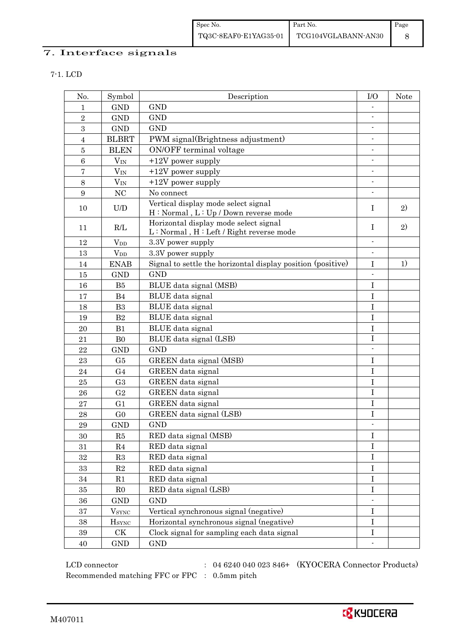# 7. Interface signals

7-1. LCD

| No.                      | Symbol                                                   | Description                                                                      | I/O                      | <b>Note</b> |
|--------------------------|----------------------------------------------------------|----------------------------------------------------------------------------------|--------------------------|-------------|
| $\mathbf{1}$             | <b>GND</b>                                               | <b>GND</b>                                                                       |                          |             |
| $\,2$                    | <b>GND</b>                                               | <b>GND</b>                                                                       |                          |             |
| 3                        | <b>GND</b>                                               | <b>GND</b>                                                                       | $\overline{\phantom{a}}$ |             |
| $\overline{4}$           | <b>BLBRT</b>                                             | PWM signal(Brightness adjustment)                                                | $\blacksquare$           |             |
| $\bf 5$                  | <b>BLEN</b>                                              | ON/OFF terminal voltage                                                          | $\overline{\phantom{a}}$ |             |
| $6\phantom{.}6$          | $V_{IN}$                                                 | $+12V$ power supply                                                              | $\blacksquare$           |             |
| $\overline{\mathcal{L}}$ | $V_{IN}$                                                 | $+12V$ power supply                                                              |                          |             |
| $8\,$                    | $V_{\rm IN}$                                             | $+12V$ power supply                                                              | $\blacksquare$           |             |
| $\boldsymbol{9}$         | NC                                                       | No connect                                                                       | $\blacksquare$           |             |
| 10                       | $\ensuremath{\mathrm{U}}\xspace/\ensuremath{\mathrm{D}}$ | Vertical display mode select signal<br>H: Normal, L: Up / Down reverse mode      | $\mathbf I$              | 2)          |
| 11                       | R/L                                                      | Horizontal display mode select signal<br>L: Normal, H: Left / Right reverse mode | $\mathbf I$              | 2)          |
| 12                       | <b>V</b> <sub>DD</sub>                                   | 3.3V power supply                                                                | $\overline{\phantom{a}}$ |             |
| 13                       | <b>V</b> <sub>DD</sub>                                   | 3.3V power supply                                                                |                          |             |
| 14                       | <b>ENAB</b>                                              | Signal to settle the horizontal display position (positive)                      | I                        | 1)          |
| 15                       | <b>GND</b>                                               | <b>GND</b>                                                                       | $\overline{a}$           |             |
| 16                       | B5                                                       | BLUE data signal (MSB)                                                           | $\bf I$                  |             |
| 17                       | B4                                                       | BLUE data signal                                                                 | $\bf I$                  |             |
| 18                       | B <sub>3</sub>                                           | BLUE data signal                                                                 | $\mathbf I$              |             |
| 19                       | B <sub>2</sub>                                           | BLUE data signal                                                                 | $\bf I$                  |             |
| 20                       | B1                                                       | BLUE data signal                                                                 | $\bf I$                  |             |
| 21                       | B <sub>0</sub>                                           | BLUE data signal (LSB)                                                           | $\mathbf I$              |             |
| 22                       | <b>GND</b>                                               | <b>GND</b>                                                                       |                          |             |
| 23                       | G5                                                       | GREEN data signal (MSB)                                                          | $\rm I$                  |             |
| 24                       | G <sub>4</sub>                                           | GREEN data signal                                                                | $\rm I$                  |             |
| $\bf 25$                 | G <sub>3</sub>                                           | GREEN data signal                                                                | $\rm I$                  |             |
| 26                       | ${\rm G}2$                                               | GREEN data signal                                                                | $\mathbf I$              |             |
| 27                       | G <sub>1</sub>                                           | GREEN data signal                                                                | $\bf I$                  |             |
| 28                       | G <sub>0</sub>                                           | GREEN data signal (LSB)                                                          | I                        |             |
| 29                       | <b>GND</b>                                               | <b>GND</b>                                                                       | $\overline{a}$           |             |
| 30                       | R5                                                       | RED data signal (MSB)                                                            | $\bf{I}$                 |             |
| 31                       | R <sub>4</sub>                                           | RED data signal                                                                  | I                        |             |
| 32                       | R3                                                       | RED data signal                                                                  | $\bf I$                  |             |
| 33                       | $\mathbf{R}2$                                            | RED data signal                                                                  | $\bf{I}$                 |             |
| 34                       | R1                                                       | RED data signal                                                                  | $\mathbf I$              |             |
| 35                       | R <sub>0</sub>                                           | RED data signal (LSB)                                                            | I                        |             |
| 36                       | <b>GND</b>                                               | <b>GND</b>                                                                       |                          |             |
| 37                       | <b>V</b> <sub>SYNC</sub>                                 | Vertical synchronous signal (negative)                                           | I                        |             |
| $38\,$                   | <b>HSYNC</b>                                             | Horizontal synchronous signal (negative)                                         | $\bf I$                  |             |
| $39\,$                   | $\mathrm{C}\mathrm{K}$                                   | Clock signal for sampling each data signal                                       | $\rm I$                  |             |
| $40\,$                   | $\mathop{\rm GND}$                                       | $\mathop{\mathrm{GND}}$                                                          |                          |             |

 $\rm LCD~connector \qquad \qquad : \quad 04~6240~040~023~846+ \quad (KYOCERA~Connector~Products)$ Recommended matching FFC or FPC : 0.5mm pitch

**EX** KYOCERA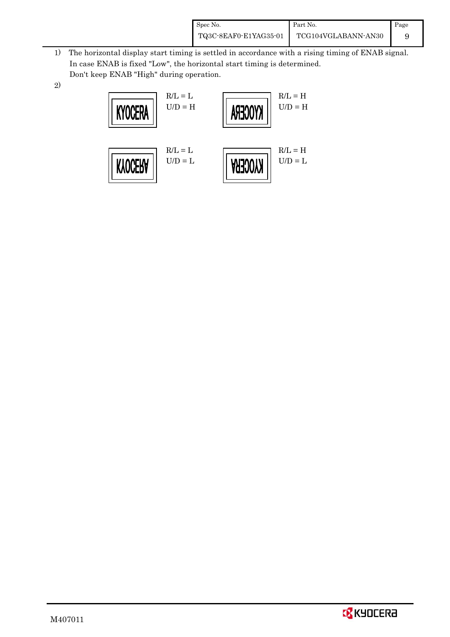| Spec No.              | Part No.            | Page |
|-----------------------|---------------------|------|
| TQ3C-8EAF0-E1YAG35-01 | TCG104VGLABANN-AN30 |      |

- 1) The horizontal display start timing is settled in accordance with a rising timing of ENAB signal. In case ENAB is fixed "Low", the horizontal start timing is determined. Don't keep ENAB "High" during operation.
- 2)



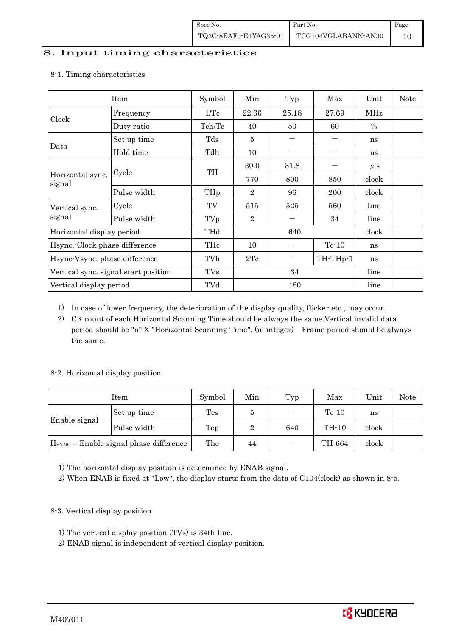### 8. Input timing characteristics

|                                      | Item        | Symbol     | Min            | Typ   | Max      | Unit    | <b>Note</b> |
|--------------------------------------|-------------|------------|----------------|-------|----------|---------|-------------|
|                                      | Frequency   | 1/Tc       | 22.66          | 25.18 | 27.69    | MHz     |             |
| Clock                                | Duty ratio  | Tch/Tc     | 40             | 50    | 60       | $\%$    |             |
|                                      | Set up time | Tds        | 5              |       |          | ns      |             |
| Data                                 | Hold time   | Tdh        | 10             |       |          | ns      |             |
| Horizontal sync.<br>signal           | Cycle       |            | 30.0           | 31.8  |          | $\mu$ s |             |
|                                      |             | TH         | 770            | 800   | 850      | clock   |             |
|                                      | Pulse width | THp        | $\overline{2}$ | 96    | 200      | clock   |             |
| Vertical sync.                       | Cycle       | TV         | 515            | 525   | 560      | line    |             |
| signal                               | Pulse width | TVp        | $\overline{2}$ |       | 34       | line    |             |
| Horizontal display period            |             | THd        | 640            |       |          | clock   |             |
| Hsync, Clock phase difference        |             | THc        | 10             |       | $Te-10$  | ns      |             |
| Hsync-Vsync. phase difference        |             | TVh        | 2Tc            |       | TH-THp-1 | ns      |             |
| Vertical sync. signal start position |             | <b>TVs</b> | 34             |       |          | line    |             |
| Vertical display period              |             | TVd        | 480            |       |          | line    |             |

#### 8-1. Timing characteristics

1) In case of lower frequency, the deterioration of the display quality, flicker etc., may occur.

2) CK count of each Horizontal Scanning Time should be always the same.Vertical invalid data period should be "n" X "Horizontal Scanning Time". (n: integer) Frame period should be always the same.

#### 8-2. Horizontal display position

| Item                                               |             | Symbol | Min | Typ | Max                    | Unit  | Note |
|----------------------------------------------------|-------------|--------|-----|-----|------------------------|-------|------|
| Enable signal                                      | Set up time | Tes    | đ   |     | $\operatorname{Te-}10$ | ns    |      |
|                                                    | Pulse width | Tep    |     | 640 | $TH-10$                | clock |      |
| H <sub>SYNC</sub> - Enable signal phase difference |             | The    | 44  |     | TH-664                 | clock |      |

1) The horizontal display position is determined by ENAB signal.

2) When ENAB is fixed at "Low", the display starts from the data of C104(clock) as shown in 8-5.

- 8-3. Vertical display position
	- 1) The vertical display position (TVs) is 34th line.
	- 2) ENAB signal is independent of vertical display position.

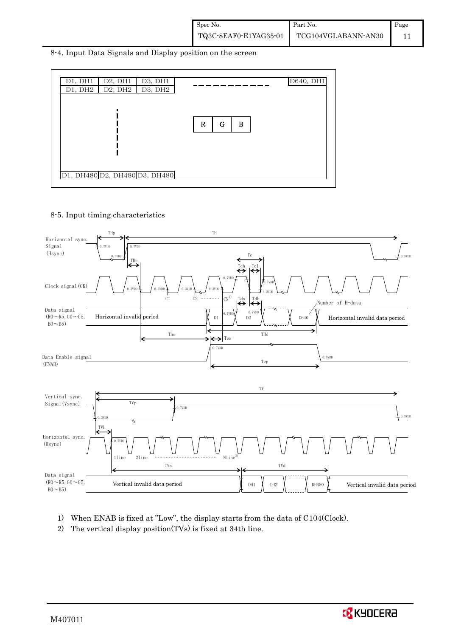8-4. Input Data Signals and Display position on the screen



8-5. Input timing characteristics



- 1) When ENAB is fixed at "Low", the display starts from the data of C104(Clock).
- 2) The vertical display position(TVs) is fixed at 34th line.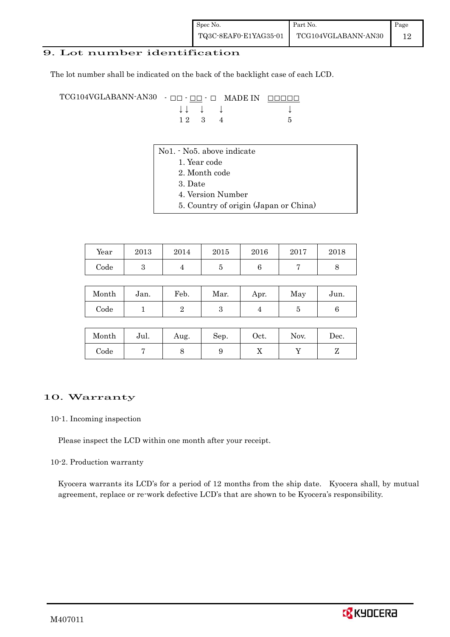## 9. Lot number identification

The lot number shall be indicated on the back of the backlight case of each LCD.

TCG104VGLABANN-AN30 - □□ - □□ - □ MADE IN □□□□□ ↓ ↓ ↓ ↓ ↓  $\begin{array}{ccc} 1 \ 2 & 3 & 4 \end{array}$  5

- No1. No5. above indicate
	- 1. Year code
		- 2. Month code
		- 3. Date
		- 4. Version Number
		- 5. Country of origin (Japan or China)

| Year       | 2013 | 2014 | 2015 | 2016 | 2017 | 2018 |
|------------|------|------|------|------|------|------|
| $\rm Code$ |      |      |      |      |      |      |

| Month | Jan. | Feb. | Mar. | Apr. | May | Jun. |
|-------|------|------|------|------|-----|------|
| Code  |      |      |      |      |     |      |

| Month | Jul. | Aug. | Sep. | Oct. | Nov. | Dec. |
|-------|------|------|------|------|------|------|
| Code  |      |      |      | ∡⊾   |      |      |

#### 10. Warranty

#### 10-1. Incoming inspection

Please inspect the LCD within one month after your receipt.

#### 10-2. Production warranty

 Kyocera warrants its LCD's for a period of 12 months from the ship date. Kyocera shall, by mutual agreement, replace or re-work defective LCD's that are shown to be Kyocera's responsibility.

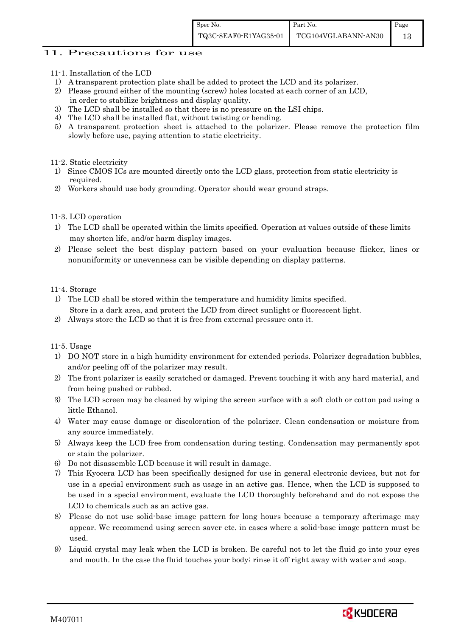### 11. Precautions for use

- 11-1. Installation of the LCD
- 1) A transparent protection plate shall be added to protect the LCD and its polarizer.
- 2) Please ground either of the mounting (screw) holes located at each corner of an LCD,
- in order to stabilize brightness and display quality.
- 3) The LCD shall be installed so that there is no pressure on the LSI chips.
- 4) The LCD shall be installed flat, without twisting or bending.
- 5) A transparent protection sheet is attached to the polarizer. Please remove the protection film slowly before use, paying attention to static electricity.

### 11-2. Static electricity

- 1) Since CMOS ICs are mounted directly onto the LCD glass, protection from static electricity is required.
- 2) Workers should use body grounding. Operator should wear ground straps.

## 11-3. LCD operation

- 1) The LCD shall be operated within the limits specified. Operation at values outside of these limits may shorten life, and/or harm display images.
- 2) Please select the best display pattern based on your evaluation because flicker, lines or nonuniformity or unevenness can be visible depending on display patterns.

### 11-4. Storage

- 1) The LCD shall be stored within the temperature and humidity limits specified. Store in a dark area, and protect the LCD from direct sunlight or fluorescent light.
- 2) Always store the LCD so that it is free from external pressure onto it.

11-5. Usage

- 1) DO NOT store in a high humidity environment for extended periods. Polarizer degradation bubbles, and/or peeling off of the polarizer may result.
- 2) The front polarizer is easily scratched or damaged. Prevent touching it with any hard material, and from being pushed or rubbed.
- 3) The LCD screen may be cleaned by wiping the screen surface with a soft cloth or cotton pad using a little Ethanol.
- 4) Water may cause damage or discoloration of the polarizer. Clean condensation or moisture from any source immediately.
- 5) Always keep the LCD free from condensation during testing. Condensation may permanently spot or stain the polarizer.
- 6) Do not disassemble LCD because it will result in damage.
- 7) This Kyocera LCD has been specifically designed for use in general electronic devices, but not for use in a special environment such as usage in an active gas. Hence, when the LCD is supposed to be used in a special environment, evaluate the LCD thoroughly beforehand and do not expose the LCD to chemicals such as an active gas.
- 8) Please do not use solid-base image pattern for long hours because a temporary afterimage may appear. We recommend using screen saver etc. in cases where a solid-base image pattern must be used.
- 9) Liquid crystal may leak when the LCD is broken. Be careful not to let the fluid go into your eyes and mouth. In the case the fluid touches your body; rinse it off right away with water and soap.

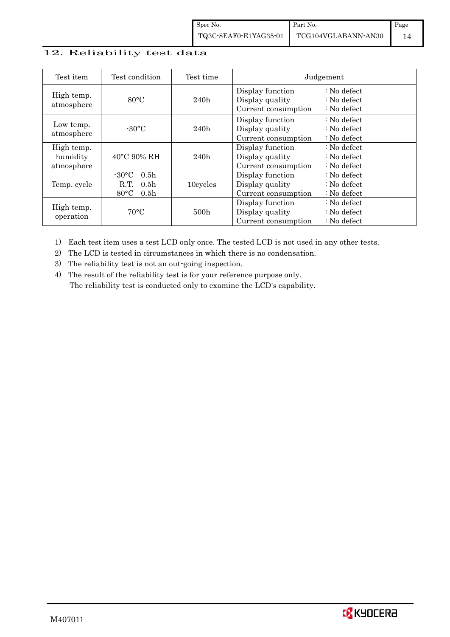## 12. Reliability test data

| Test item                            | Test condition                                                                                       | Test time |                                                            | Judgement                                                                  |
|--------------------------------------|------------------------------------------------------------------------------------------------------|-----------|------------------------------------------------------------|----------------------------------------------------------------------------|
| High temp.<br>atmosphere             | $80^{\circ}$ C                                                                                       | 240h      | Display function<br>Display quality<br>Current consumption | $\therefore$ No defect<br>$\therefore$ No defect<br>$\therefore$ No defect |
| Low temp.<br>atmosphere              | $-30^{\circ}$ C                                                                                      | 240h      | Display function<br>Display quality<br>Current consumption | $\therefore$ No defect<br>: No defect<br>$\therefore$ No defect            |
| High temp.<br>humidity<br>atmosphere | $40^{\circ}$ C 90% RH                                                                                | 240h      | Display function<br>Display quality<br>Current consumption | $\therefore$ No defect<br>$\therefore$ No defect<br>$\therefore$ No defect |
| Temp. cycle                          | $-30\degree C$<br>0.5 <sub>h</sub><br>0.5 <sub>h</sub><br>R.T.<br>$80^{\circ}$ C<br>0.5 <sub>h</sub> | 10cycles  | Display function<br>Display quality<br>Current consumption | $\therefore$ No defect<br>$\therefore$ No defect<br>$\therefore$ No defect |
| High temp.<br>operation              | $70^{\circ}$ C                                                                                       | 500h      | Display function<br>Display quality<br>Current consumption | $\therefore$ No defect<br>$\therefore$ No defect<br>$\therefore$ No defect |

1) Each test item uses a test LCD only once. The tested LCD is not used in any other tests.

2) The LCD is tested in circumstances in which there is no condensation.

3) The reliability test is not an out-going inspection.

4) The result of the reliability test is for your reference purpose only. The reliability test is conducted only to examine the LCD's capability.

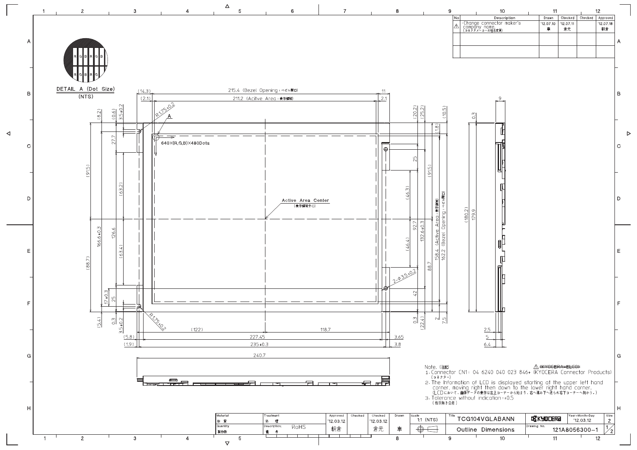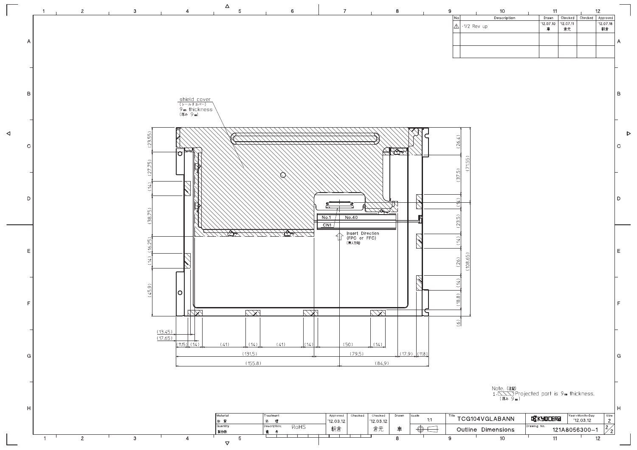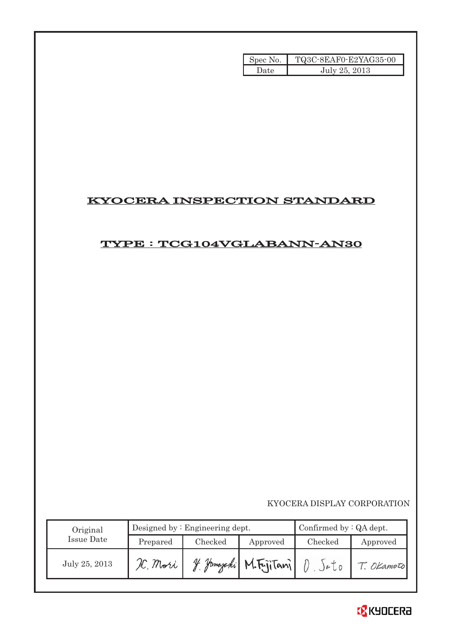| Spec No. | TQ3C-8EAF0-E2YAG35-00 |
|----------|-----------------------|
| Date     | July 25, 2013         |

# KYOCERA INSPECTION STANDARD

# TYPE : TCG104VGLABANN-AN30

KYOCERA DISPLAY CORPORATION

| Original      |          | Designed by $:$ Engineering dept. | Confirmed by $:QA$ dept. |                      |            |
|---------------|----------|-----------------------------------|--------------------------|----------------------|------------|
| Issue Date    | Prepared | Checked                           | Approved                 | Checked              | Approved   |
| July 25, 2013 | L. Mori  | 4 Hamazaki "                      | M.FriiTani               | $e$ $\overline{L}$ 0 | T. OKamoto |

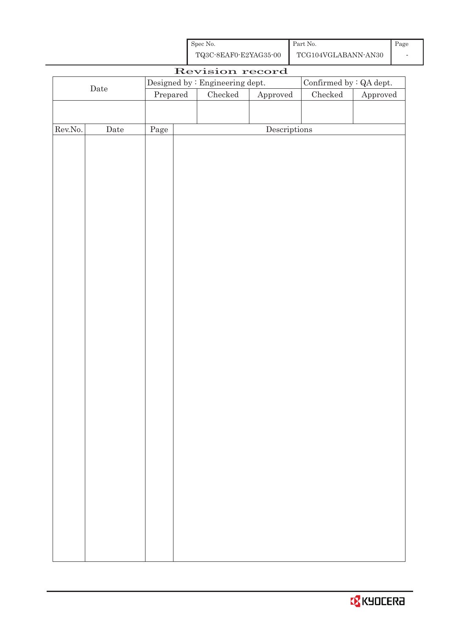| Spec No.              | Part No.            | Page |
|-----------------------|---------------------|------|
| TQ3C-8EAF0-E2YAG35-00 | TCG104VGLABANN-AN30 |      |

| Revision record |             |                                                                   |  |         |                        |               |                        |
|-----------------|-------------|-------------------------------------------------------------------|--|---------|------------------------|---------------|------------------------|
|                 |             | Confirmed by $\colon$ QA dept.<br>Designed by : Engineering dept. |  |         |                        |               |                        |
| $\rm{Date}$     |             | $\ensuremath{\mathrm{Prepared}}$                                  |  | Checked | ${\Large\bf Approved}$ | $\rm Checked$ | ${\Large\bf Approved}$ |
|                 |             |                                                                   |  |         |                        |               |                        |
|                 |             |                                                                   |  |         |                        |               |                        |
| Rev.No.         | $\rm{Date}$ | Page                                                              |  |         | Descriptions           |               |                        |
|                 |             |                                                                   |  |         |                        |               |                        |
|                 |             |                                                                   |  |         |                        |               |                        |
|                 |             |                                                                   |  |         |                        |               |                        |
|                 |             |                                                                   |  |         |                        |               |                        |
|                 |             |                                                                   |  |         |                        |               |                        |
|                 |             |                                                                   |  |         |                        |               |                        |
|                 |             |                                                                   |  |         |                        |               |                        |
|                 |             |                                                                   |  |         |                        |               |                        |
|                 |             |                                                                   |  |         |                        |               |                        |
|                 |             |                                                                   |  |         |                        |               |                        |
|                 |             |                                                                   |  |         |                        |               |                        |
|                 |             |                                                                   |  |         |                        |               |                        |
|                 |             |                                                                   |  |         |                        |               |                        |
|                 |             |                                                                   |  |         |                        |               |                        |
|                 |             |                                                                   |  |         |                        |               |                        |
|                 |             |                                                                   |  |         |                        |               |                        |
|                 |             |                                                                   |  |         |                        |               |                        |
|                 |             |                                                                   |  |         |                        |               |                        |
|                 |             |                                                                   |  |         |                        |               |                        |
|                 |             |                                                                   |  |         |                        |               |                        |
|                 |             |                                                                   |  |         |                        |               |                        |
|                 |             |                                                                   |  |         |                        |               |                        |
|                 |             |                                                                   |  |         |                        |               |                        |
|                 |             |                                                                   |  |         |                        |               |                        |
|                 |             |                                                                   |  |         |                        |               |                        |
|                 |             |                                                                   |  |         |                        |               |                        |
|                 |             |                                                                   |  |         |                        |               |                        |
|                 |             |                                                                   |  |         |                        |               |                        |
|                 |             |                                                                   |  |         |                        |               |                        |
|                 |             |                                                                   |  |         |                        |               |                        |
|                 |             |                                                                   |  |         |                        |               |                        |
|                 |             |                                                                   |  |         |                        |               |                        |
|                 |             |                                                                   |  |         |                        |               |                        |
|                 |             |                                                                   |  |         |                        |               |                        |
|                 |             |                                                                   |  |         |                        |               |                        |
|                 |             |                                                                   |  |         |                        |               |                        |

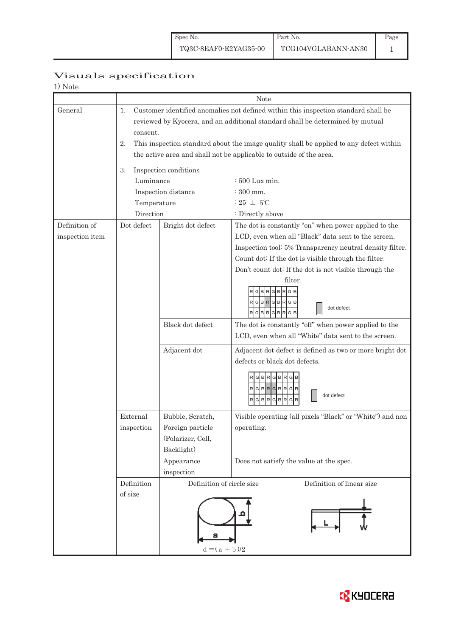Page 1

# Visuals specification

| 1) Note                          |                                                                                                                                                                                                                                                                                                                                                                                                                                                                                                                  |                                                                                                                         |                                                                                                                                                                                                                                                 |  |  |  |
|----------------------------------|------------------------------------------------------------------------------------------------------------------------------------------------------------------------------------------------------------------------------------------------------------------------------------------------------------------------------------------------------------------------------------------------------------------------------------------------------------------------------------------------------------------|-------------------------------------------------------------------------------------------------------------------------|-------------------------------------------------------------------------------------------------------------------------------------------------------------------------------------------------------------------------------------------------|--|--|--|
|                                  | Note                                                                                                                                                                                                                                                                                                                                                                                                                                                                                                             |                                                                                                                         |                                                                                                                                                                                                                                                 |  |  |  |
| General                          | Customer identified anomalies not defined within this inspection standard shall be<br>1.<br>reviewed by Kyocera, and an additional standard shall be determined by mutual<br>consent.<br>This inspection standard about the image quality shall be applied to any defect within<br>2.<br>the active area and shall not be applicable to outside of the area.<br>Inspection conditions<br>3.<br>Luminance<br>$\div 500$ Lux min.<br>Inspection distance<br>$\div$ 300 mm.<br>$:25 \pm 5^{\circ}$ C<br>Temperature |                                                                                                                         |                                                                                                                                                                                                                                                 |  |  |  |
| Definition of<br>inspection item | Direction<br>Dot defect                                                                                                                                                                                                                                                                                                                                                                                                                                                                                          | Bright dot defect                                                                                                       | : Directly above<br>The dot is constantly "on" when power applied to the<br>LCD, even when all "Black" data sent to the screen.                                                                                                                 |  |  |  |
|                                  |                                                                                                                                                                                                                                                                                                                                                                                                                                                                                                                  |                                                                                                                         | Inspection tool: 5% Transparency neutral density filter.<br>Count dot: If the dot is visible through the filter.<br>Don't count dot: If the dot is not visible through the<br>filter.<br>RGBRGBRGB<br>dot defect<br>$R$ G $B$ $R$<br>GBR<br>G B |  |  |  |
|                                  |                                                                                                                                                                                                                                                                                                                                                                                                                                                                                                                  | Black dot defect                                                                                                        | The dot is constantly "off" when power applied to the<br>LCD, even when all "White" data sent to the screen.                                                                                                                                    |  |  |  |
|                                  |                                                                                                                                                                                                                                                                                                                                                                                                                                                                                                                  | Adjacent dot                                                                                                            | Adjacent dot defect is defined as two or more bright dot<br>defects or black dot defects.<br>G B<br>R<br>G B <br>RGBRGBRGB<br>dot defect<br>$R$ G $B$ $R$ $G$ $B$<br>R<br>G                                                                     |  |  |  |
|                                  | External<br>inspection                                                                                                                                                                                                                                                                                                                                                                                                                                                                                           | Bubble, Scratch,<br>Foreign particle<br>(Polarizer, Cell,<br>Backlight)                                                 | Visible operating (all pixels "Black" or "White") and non<br>operating.                                                                                                                                                                         |  |  |  |
|                                  |                                                                                                                                                                                                                                                                                                                                                                                                                                                                                                                  | Appearance<br>inspection                                                                                                | Does not satisfy the value at the spec.                                                                                                                                                                                                         |  |  |  |
|                                  | Definition<br>of size                                                                                                                                                                                                                                                                                                                                                                                                                                                                                            | Definition of circle size<br>Definition of linear size<br>а<br>$\mathbf{d} = ( \, \mathbf{a} \, + \, \mathbf{b} \, )/2$ |                                                                                                                                                                                                                                                 |  |  |  |